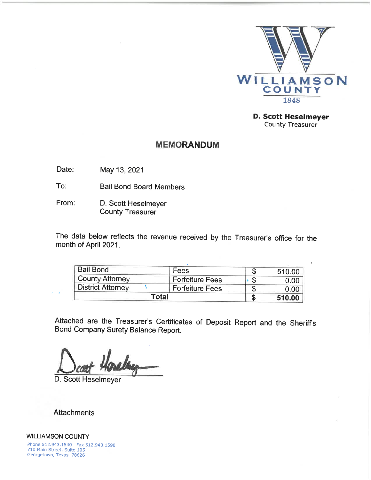

**D. Scott Heselmeyer** County Treasurer

 $\lambda$ 

## **MEMORANDUM**

Date: May 13, 2021

To: **Bail Bond Board Members** 

From: D. Scott Heselmeyer County Treasurer

The data below reflects the revenue received by the Treasurer's office for the month of April 2021.

| Total                    |                        | 510.00 |
|--------------------------|------------------------|--------|
| <b>District Attorney</b> | <b>Forfeiture Fees</b> | 0.00   |
| County Attorney          | <b>Forfeiture Fees</b> | 0.00   |
| <b>Bail Bond</b>         | <b>Fees</b>            | 510.00 |

Attached are the Treasurer's Certificates of Deposit Report and the Sheriff's Bond Company Surety Balance Report.

D. Scott Heselmeyer

**Attachments** 

 $\lambda = 1/2$ 

**WILLIAMSON COUNTY** Phone 512.943.1540 Fax 512.943.1590 710 Main Street, Suite 105 Georgetown, Texas 78626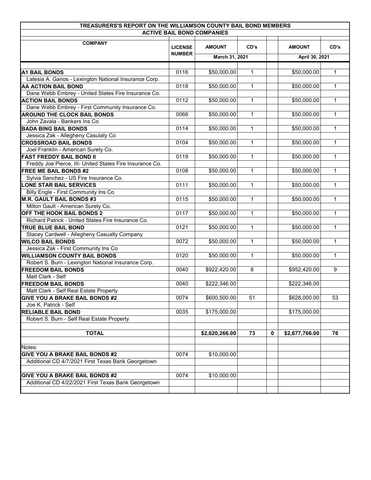| TREASURERS'S REPORT ON THE WILLIAMSON COUNTY BAIL BOND MEMBERS |               |                       |              |             |                          |              |
|----------------------------------------------------------------|---------------|-----------------------|--------------|-------------|--------------------------|--------------|
| <b>ACTIVE BAIL BOND COMPANIES</b>                              |               |                       |              |             |                          |              |
| <b>COMPANY</b>                                                 |               | CD's<br><b>AMOUNT</b> |              |             | <b>AMOUNT</b>            |              |
|                                                                | <b>NUMBER</b> | March 31, 2021        |              |             | April 30, 2021           |              |
|                                                                |               |                       |              |             |                          |              |
| <b>A1 BAIL BONDS</b>                                           | 0116          | \$50,000.00           | $\mathbf{1}$ |             | \$50,000.00              | $\mathbf{1}$ |
| Latesia A. Ganos - Lexington National Insurance Corp.          |               |                       |              |             |                          |              |
| AA ACTION BAIL BOND                                            | 0118          | \$50,000.00           | $\mathbf{1}$ |             | \$50,000.00              | $\mathbf{1}$ |
| Dane Webb Embrey - United States Fire Insurance Co.            |               |                       |              |             |                          |              |
| <b>ACTION BAIL BONDS</b>                                       | 0112          | \$50,000.00           | 1            |             | \$50,000.00              | $\mathbf{1}$ |
| Dane Webb Embrey - First Community Insurance Co.               |               |                       |              |             |                          |              |
| <b>AROUND THE CLOCK BAIL BONDS</b>                             | 0066          | \$50,000.00           | $\mathbf{1}$ |             | \$50,000.00              | $\mathbf{1}$ |
| John Zavala - Bankers Ins Co                                   |               |                       |              |             |                          |              |
| <b>BADA BING BAIL BONDS</b>                                    | 0114          | \$50,000.00           | 1            |             | \$50,000.00              | 1            |
| Jessica Zak - Allegheny Casulaty Co                            |               |                       |              |             |                          |              |
| <b>CROSSROAD BAIL BONDS</b>                                    | 0104          | \$50,000.00           | 1            |             | \$50,000.00              | $\mathbf{1}$ |
| Joel Franklin - American Surety Co.                            |               |                       |              |             |                          |              |
| <b>FAST FREDDY BAIL BOND II</b>                                | 0119          | \$50,000.00           | $\mathbf{1}$ |             | \$50,000.00              | $\mathbf{1}$ |
| Freddy Joe Pierce, III- United States Fire Insurance Co.       |               |                       |              |             |                          |              |
| <b>FREE ME BAIL BONDS #2</b>                                   | 0108          | \$50,000.00           | $\mathbf{1}$ |             | \$50,000.00              | $\mathbf{1}$ |
| Sylvia Sanchez - US Fire Insurance Co.                         |               |                       |              |             |                          |              |
| <b>LONE STAR BAIL SERVICES</b>                                 | 0111          | \$50,000.00           | $\mathbf{1}$ |             | \$50,000.00              | $\mathbf{1}$ |
| Billy Engle - First Community Ins Co                           |               |                       |              |             |                          |              |
| <b>M.R. GAULT BAIL BONDS #3</b>                                | 0115          | \$50,000.00           | $\mathbf{1}$ |             | \$50,000.00              | $\mathbf{1}$ |
| Milton Gault - American Surety Co.                             |               |                       |              |             |                          |              |
| OFF THE HOOK BAIL BONDS 2                                      | 0117          | \$50,000.00           | $\mathbf{1}$ |             | \$50,000.00              | $\mathbf{1}$ |
| Richard Patrick - United States Fire Insurance Co.             |               |                       |              |             |                          |              |
| <b>TRUE BLUE BAIL BOND</b>                                     | 0121          | \$50,000.00           | $\mathbf{1}$ |             | \$50,000.00              | $\mathbf{1}$ |
| Stacey Cardwell - Allegheny Casualty Company                   |               |                       |              |             |                          |              |
| <b>WILCO BAIL BONDS</b>                                        | 0072          | \$50,000.00           | $\mathbf{1}$ |             | \$50,000.00              | 1            |
| Jessica Zak - First Community Ins Co                           |               |                       |              |             |                          |              |
| <b>WILLIAMSON COUNTY BAIL BONDS</b>                            | 0120          | \$50,000.00           | $\mathbf{1}$ |             | \$50,000.00              | $\mathbf{1}$ |
| Robert S. Burn - Lexington National Insurance Corp.            |               |                       |              |             |                          |              |
| <b>FREEDOM BAIL BONDS</b>                                      | 0040          | \$922,420.00          | 8            |             | \$952,420.00             | 9            |
| Matt Clark - Self                                              |               |                       |              |             |                          |              |
| <b>FREEDOM BAIL BONDS</b>                                      | 0040          | \$222,346.00          |              |             | $\overline{$}222,346.00$ |              |
|                                                                |               |                       |              |             |                          |              |
| Matt Clark - Self Real Estate Property                         |               |                       |              |             |                          |              |
| <b>GIVE YOU A BRAKE BAIL BONDS #2</b>                          | 0074          | \$600,500.00          | 51           |             | \$628,000.00             | 53           |
| Joe K. Patrick - Self                                          |               |                       |              |             |                          |              |
| <b>RELIABLE BAIL BOND</b>                                      | 0035          | \$175,000.00          |              |             | \$175,000.00             |              |
| Robert S. Burn - Self Real Estate Property                     |               |                       |              |             |                          |              |
| <b>TOTAL</b>                                                   |               | \$2,620,266.00        | 73           | $\mathbf 0$ | \$2,677,766.00           | 76           |
|                                                                |               |                       |              |             |                          |              |
| Notes:                                                         |               |                       |              |             |                          |              |
| <b>GIVE YOU A BRAKE BAIL BONDS #2</b>                          | 0074          | \$10,000.00           |              |             |                          |              |
| Additional CD 4/7/2021 First Texas Bank Georgetown             |               |                       |              |             |                          |              |
|                                                                |               |                       |              |             |                          |              |
| <b>GIVE YOU A BRAKE BAIL BONDS #2</b>                          | 0074          | \$10,000.00           |              |             |                          |              |
| Additional CD 4/22/2021 First Texas Bank Georgetown            |               |                       |              |             |                          |              |
|                                                                |               |                       |              |             |                          |              |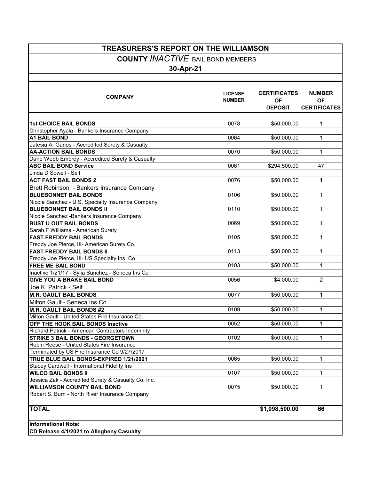| <b>TREASURERS'S REPORT ON THE WILLIAMSON</b>                                               |                                 |                                                    |                                                   |  |  |  |
|--------------------------------------------------------------------------------------------|---------------------------------|----------------------------------------------------|---------------------------------------------------|--|--|--|
| <b>COUNTY INACTIVE BAIL BOND MEMBERS</b>                                                   |                                 |                                                    |                                                   |  |  |  |
|                                                                                            |                                 |                                                    |                                                   |  |  |  |
| 30-Apr-21                                                                                  |                                 |                                                    |                                                   |  |  |  |
|                                                                                            |                                 |                                                    |                                                   |  |  |  |
| <b>COMPANY</b>                                                                             | <b>LICENSE</b><br><b>NUMBER</b> | <b>CERTIFICATES</b><br><b>OF</b><br><b>DEPOSIT</b> | <b>NUMBER</b><br><b>OF</b><br><b>CERTIFICATES</b> |  |  |  |
| <b>1st CHOICE BAIL BONDS</b>                                                               | 0078                            | \$50,000.00                                        | 1                                                 |  |  |  |
| Christopher Ayala - Bankers Insurance Company                                              |                                 |                                                    |                                                   |  |  |  |
| <b>A1 BAIL BOND</b>                                                                        | 0064                            | \$50,000.00                                        | 1                                                 |  |  |  |
| Latesia A. Ganos - Accredited Surety & Casualty                                            |                                 |                                                    |                                                   |  |  |  |
| <b>AA-ACTION BAIL BONDS</b>                                                                | 0070                            | \$50,000.00                                        | 1                                                 |  |  |  |
| Dane Webb Embrey - Accredited Surety & Casualty                                            |                                 |                                                    |                                                   |  |  |  |
| <b>ABC BAIL BOND Service</b>                                                               | 0061                            | \$294,500.00                                       | 47                                                |  |  |  |
| Linda D Sowell - Self                                                                      |                                 |                                                    |                                                   |  |  |  |
| <b>ACT FAST BAIL BONDS 2</b>                                                               | 0076                            | \$50,000.00                                        | 1                                                 |  |  |  |
| Brett Robinson - Bankers Insurance Company                                                 |                                 |                                                    |                                                   |  |  |  |
| <b>BLUEBONNET BAIL BONDS</b>                                                               | 0106                            | \$50,000.00                                        | 1                                                 |  |  |  |
| Nicole Sanchez - U.S. Specialty Insurance Company                                          |                                 |                                                    |                                                   |  |  |  |
| <b>BLUEBONNET BAIL BONDS II</b>                                                            | 0110                            | \$50,000.00                                        | 1                                                 |  |  |  |
| Nicole Sanchez - Bankers Insurance Company                                                 |                                 |                                                    |                                                   |  |  |  |
| <b>BUST U OUT BAIL BONDS</b>                                                               | 0069                            | \$50,000.00                                        | $\mathbf{1}$                                      |  |  |  |
| Sarah F Williams - American Surety                                                         |                                 |                                                    |                                                   |  |  |  |
| <b>FAST FREDDY BAIL BONDS</b>                                                              | 0105                            | \$50,000.00                                        | $\mathbf{1}$                                      |  |  |  |
| Freddy Joe Pierce, III- American Surety Co.                                                |                                 |                                                    |                                                   |  |  |  |
| <b>FAST FREDDY BAIL BONDS II</b>                                                           | 0113                            | \$50,000.00                                        | $\mathbf{1}$                                      |  |  |  |
| Freddy Joe Pierce, III- US Specialty Ins. Co.                                              |                                 |                                                    |                                                   |  |  |  |
| <b>FREE ME BAIL BOND</b>                                                                   | 0103                            | \$50,000.00                                        | 1                                                 |  |  |  |
| Inactive 1/21/17 - Sylia Sanchez - Seneca Ins Co                                           |                                 |                                                    |                                                   |  |  |  |
| <b>GIVE YOU A BRAKE BAIL BOND</b>                                                          | 0056                            | \$4,000.00                                         | $\overline{2}$                                    |  |  |  |
| Joe K. Patrick - Self                                                                      |                                 |                                                    |                                                   |  |  |  |
| <b>M.R. GAULT BAIL BONDS</b>                                                               | 0077                            | \$50,000.00                                        | 1                                                 |  |  |  |
|                                                                                            |                                 |                                                    |                                                   |  |  |  |
| Milton Gault - Seneca Ins Co.                                                              | 0109                            | \$50,000.00                                        | $\mathbf{1}$                                      |  |  |  |
| <b>M.R. GAULT BAIL BONDS #2</b>                                                            |                                 |                                                    |                                                   |  |  |  |
| Milton Gault - United States Fire Insurance Co.<br><b>OFF THE HOOK BAIL BONDS Inactive</b> | 0052                            | \$50,000.00                                        | 1                                                 |  |  |  |
| Richard Patrick - American Contractors Indemnity                                           |                                 |                                                    |                                                   |  |  |  |
| <b>STRIKE 3 BAIL BONDS - GEORGETOWN</b>                                                    | 0102                            | \$50,000.00                                        | 1                                                 |  |  |  |
| Robin Reese - United States Fire Insurance                                                 |                                 |                                                    |                                                   |  |  |  |
| Terminated by US Fire Insurance Co 9/27/2017                                               |                                 |                                                    |                                                   |  |  |  |
| TRUE BLUE BAIL BONDS-EXPIRED 1/21/2021                                                     | 0065                            | \$50,000.00                                        | 1                                                 |  |  |  |
| Stacey Cardwell - International Fidelity Ins                                               |                                 |                                                    |                                                   |  |  |  |
| <b>WILCO BAIL BONDS II</b>                                                                 | 0107                            | \$50,000.00                                        | 1                                                 |  |  |  |
| Jessica Zak - Accredited Surety & Casualty Co, Inc.                                        |                                 |                                                    |                                                   |  |  |  |
| <b>WILLIAMSON COUNTY BAIL BOND</b>                                                         | 0075                            | \$50,000.00                                        | $\mathbf{1}$                                      |  |  |  |
| Robert S. Burn - North River Insurance Company                                             |                                 |                                                    |                                                   |  |  |  |
|                                                                                            |                                 |                                                    |                                                   |  |  |  |
| <b>TOTAL</b>                                                                               |                                 | \$1,098,500.00                                     | 66                                                |  |  |  |
|                                                                                            |                                 |                                                    |                                                   |  |  |  |
| <b>Informational Note:</b>                                                                 |                                 |                                                    |                                                   |  |  |  |
| CD Release 4/1/2021 to Allegheny Casualty                                                  |                                 |                                                    |                                                   |  |  |  |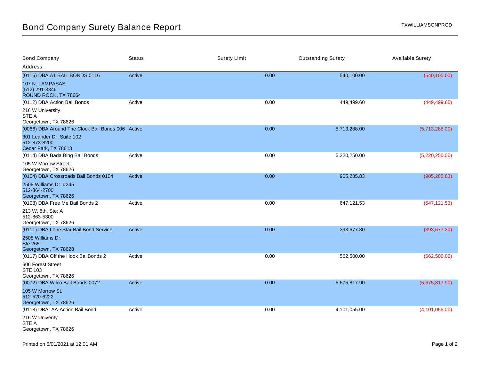| <b>Bond Company</b>                                               | <b>Status</b> | <b>Surety Limit</b> | <b>Outstanding Surety</b> | <b>Available Surety</b> |
|-------------------------------------------------------------------|---------------|---------------------|---------------------------|-------------------------|
| Address                                                           |               |                     |                           |                         |
| (0116) DBA A1 BAIL BONDS 0116                                     | Active        | 0.00                | 540,100.00                | (540, 100.00)           |
| 107 N. LAMPASAS<br>(512) 291-3346<br>ROUND ROCK, TX 78664         |               |                     |                           |                         |
| (0112) DBA Action Bail Bonds                                      | Active        | 0.00                | 449,499.60                | (449, 499.60)           |
| 216 W University<br>STE A<br>Georgetown, TX 78626                 |               |                     |                           |                         |
| (0066) DBA Around The Clock Bail Bonds 006 Active                 |               | 0.00                | 5,713,288.00              | (5,713,288.00)          |
| 301 Leander Dr. Suite 102<br>512-873-8200<br>Cedar Park, TX 78613 |               |                     |                           |                         |
| (0114) DBA Bada Bing Bail Bonds                                   | Active        | 0.00                | 5,220,250.00              | (5,220,250.00)          |
| 105 W Morrow Street<br>Georgetown, TX 78626                       |               |                     |                           |                         |
| (0104) DBA Crossroads Bail Bonds 0104                             | Active        | 0.00                | 905,285.83                | (905, 285.83)           |
| 2508 Williams Dr. #245<br>512-864-2700<br>Georgetown, TX 78626    |               |                     |                           |                         |
| (0108) DBA Free Me Bail Bonds 2                                   | Active        | 0.00                | 647,121.53                | (647, 121.53)           |
| 213 W. 8th, Ste: A<br>512-863-5300<br>Georgetown, TX 78626        |               |                     |                           |                         |
| (0111) DBA Lone Star Bail Bond Service                            | Active        | 0.00                | 393,677.30                | (393, 677.30)           |
| 2508 Williams Dr.<br><b>Ste 265</b><br>Georgetown, TX 78628       |               |                     |                           |                         |
| (0117) DBA Off the Hook BailBonds 2                               | Active        | 0.00                | 562,500.00                | (562, 500.00)           |
| 606 Forest Street<br><b>STE 103</b><br>Georgetown, TX 78626       |               |                     |                           |                         |
| (0072) DBA Wilco Bail Bonds 0072                                  | Active        | 0.00                | 5,675,817.90              | (5,675,817.90)          |
| 105 W Morrow St.<br>512-520-6222<br>Georgetown, TX 78626          |               |                     |                           |                         |
| (0118) DBA: AA-Action Bail Bond                                   | Active        | 0.00                | 4,101,055.00              | (4, 101, 055.00)        |
| 216 W Univerity<br>STE A<br>Georgetown, TX 78626                  |               |                     |                           |                         |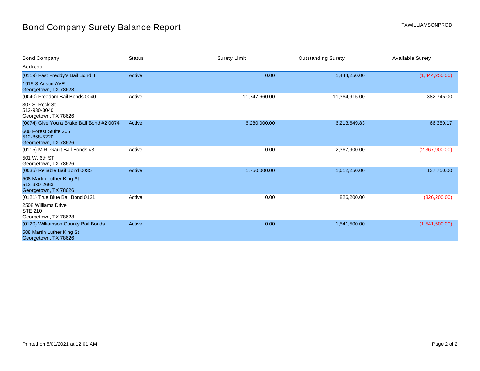| Bond Company                                                       | <b>Status</b> | <b>Surety Limit</b> | <b>Outstanding Surety</b> | <b>Available Surety</b> |
|--------------------------------------------------------------------|---------------|---------------------|---------------------------|-------------------------|
| Address                                                            |               |                     |                           |                         |
| (0119) Fast Freddy's Bail Bond II                                  | Active        | 0.00                | 1,444,250.00              | (1,444,250.00)          |
| 1915 S Austin AVE<br>Georgetown, TX 78628                          |               |                     |                           |                         |
| (0040) Freedom Bail Bonds 0040                                     | Active        | 11,747,660.00       | 11,364,915.00             | 382,745.00              |
| 307 S. Rock St.<br>512-930-3040<br>Georgetown, TX 78626            |               |                     |                           |                         |
| (0074) Give You a Brake Bail Bond #2 0074                          | Active        | 6,280,000.00        | 6,213,649.83              | 66,350.17               |
| 606 Forest Stuite 205<br>512-868-5220<br>Georgetown, TX 78626      |               |                     |                           |                         |
| (0115) M.R. Gault Bail Bonds #3                                    | Active        | 0.00                | 2,367,900.00              | (2,367,900.00)          |
| 501 W. 6th ST<br>Georgetown, TX 78626                              |               |                     |                           |                         |
| (0035) Reliable Bail Bond 0035                                     | Active        | 1,750,000.00        | 1,612,250.00              | 137,750.00              |
| 508 Martin Luther King St.<br>512-930-2663<br>Georgetown, TX 78626 |               |                     |                           |                         |
| (0121) True Blue Bail Bond 0121                                    | Active        | 0.00                | 826,200.00                | (826, 200.00)           |
| 2508 Williams Drive<br><b>STE 210</b><br>Georgetown, TX 78628      |               |                     |                           |                         |
| (0120) Williamson County Bail Bonds                                | Active        | 0.00                | 1,541,500.00              | (1,541,500.00)          |
| 508 Martin Luther King St<br>Georgetown, TX 78626                  |               |                     |                           |                         |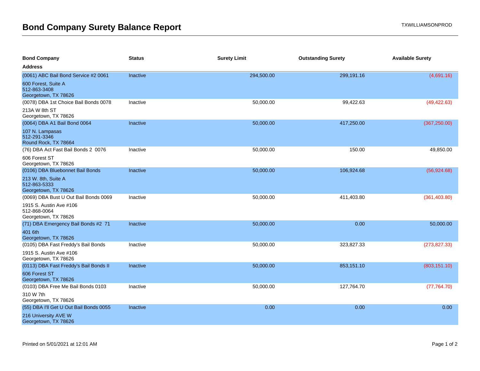| <b>Bond Company</b>                                             | <b>Status</b>   | <b>Surety Limit</b> | <b>Outstanding Surety</b> | <b>Available Surety</b> |
|-----------------------------------------------------------------|-----------------|---------------------|---------------------------|-------------------------|
| <b>Address</b>                                                  |                 |                     |                           |                         |
| (0061) ABC Bail Bond Service #2 0061                            | Inactive        | 294,500.00          | 299,191.16                | (4,691.16)              |
| 600 Forest, Suite A<br>512-863-3408<br>Georgetown, TX 78626     |                 |                     |                           |                         |
| (0078) DBA 1st Choice Bail Bonds 0078                           | Inactive        | 50,000.00           | 99,422.63                 | (49, 422.63)            |
| 213A W 8th ST<br>Georgetown, TX 78626                           |                 |                     |                           |                         |
| (0064) DBA A1 Bail Bond 0064                                    | <b>Inactive</b> | 50,000.00           | 417,250.00                | (367, 250.00)           |
| 107 N. Lampasas<br>512-291-3346<br>Round Rock, TX 78664         |                 |                     |                           |                         |
| (76) DBA Act Fast Bail Bonds 2 0076                             | Inactive        | 50,000.00           | 150.00                    | 49,850.00               |
| 606 Forest ST<br>Georgetown, TX 78626                           |                 |                     |                           |                         |
| (0106) DBA Bluebonnet Bail Bonds                                | <b>Inactive</b> | 50,000.00           | 106,924.68                | (56, 924.68)            |
| 213 W. 8th, Suite A<br>512-863-5333<br>Georgetown, TX 78626     |                 |                     |                           |                         |
| (0069) DBA Bust U Out Bail Bonds 0069                           | Inactive        | 50,000.00           | 411,403.80                | (361, 403.80)           |
| 1915 S. Austin Ave #106<br>512-868-0064<br>Georgetown, TX 78626 |                 |                     |                           |                         |
| (71) DBA Emergency Bail Bonds #2 71                             | <b>Inactive</b> | 50,000.00           | 0.00                      | 50,000.00               |
| 401 6th<br>Georgetown, TX 78626                                 |                 |                     |                           |                         |
| (0105) DBA Fast Freddy's Bail Bonds                             | Inactive        | 50,000.00           | 323,827.33                | (273, 827.33)           |
| 1915 S. Austin Ave #106<br>Georgetown, TX 78626                 |                 |                     |                           |                         |
| (0113) DBA Fast Freddy's Bail Bonds II                          | Inactive        | 50,000.00           | 853,151.10                | (803, 151.10)           |
| 606 Forest ST<br>Georgetown, TX 78626                           |                 |                     |                           |                         |
| (0103) DBA Free Me Bail Bonds 0103                              | Inactive        | 50,000.00           | 127,764.70                | (77, 764.70)            |
| 310 W 7th<br>Georgetown, TX 78626                               |                 |                     |                           |                         |
| (55) DBA I'll Get U Out Bail Bonds 0055                         | <b>Inactive</b> | 0.00                | 0.00                      | 0.00                    |
| 216 University AVE W<br>Georgetown, TX 78626                    |                 |                     |                           |                         |